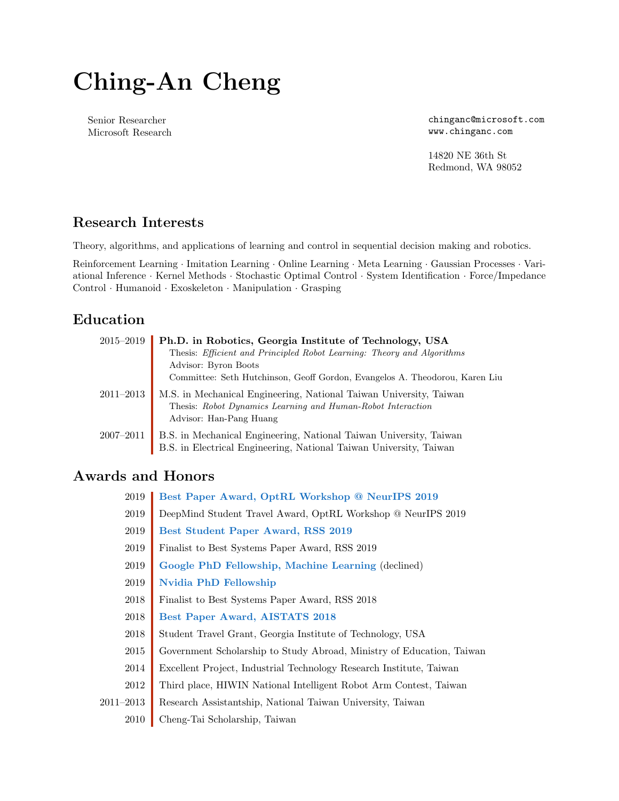# Ching-An Cheng

Senior Researcher Microsoft Research chinganc@microsoft.com www.chinganc.com

14820 NE 36th St Redmond, WA 98052

#### Research Interests

Theory, algorithms, and applications of learning and control in sequential decision making and robotics.

Reinforcement Learning · Imitation Learning · Online Learning · Meta Learning · Gaussian Processes · Variational Inference · Kernel Methods · Stochastic Optimal Control · System Identification · Force/Impedance Control · Humanoid · Exoskeleton · Manipulation · Grasping

#### Education

| $2015 - 2019$ | Ph.D. in Robotics, Georgia Institute of Technology, USA                                                                                                      |
|---------------|--------------------------------------------------------------------------------------------------------------------------------------------------------------|
|               | Thesis: Efficient and Principled Robot Learning: Theory and Algorithms                                                                                       |
|               | Advisor: Byron Boots                                                                                                                                         |
|               | Committee: Seth Hutchinson, Geoff Gordon, Evangelos A. Theodorou, Karen Liu                                                                                  |
| $2011 - 2013$ | M.S. in Mechanical Engineering, National Taiwan University, Taiwan<br>Thesis: Robot Dynamics Learning and Human-Robot Interaction<br>Advisor: Han-Pang Huang |
| $2007 - 2011$ | B.S. in Mechanical Engineering, National Taiwan University, Taiwan<br>B.S. in Electrical Engineering, National Taiwan University, Taiwan                     |

#### Awards and Honors

| 2019      | Best Paper Award, OptRL Workshop @ NeurIPS 2019                       |
|-----------|-----------------------------------------------------------------------|
| 2019      | DeepMind Student Travel Award, OptRL Workshop @ NeurIPS 2019          |
| 2019      | Best Student Paper Award, RSS 2019                                    |
| 2019      | Finalist to Best Systems Paper Award, RSS 2019                        |
| 2019      | Google PhD Fellowship, Machine Learning (declined)                    |
| 2019      | <b>Nvidia PhD Fellowship</b>                                          |
| 2018      | Finalist to Best Systems Paper Award, RSS 2018                        |
| 2018      | Best Paper Award, AISTATS 2018                                        |
| 2018      | Student Travel Grant, Georgia Institute of Technology, USA            |
| 2015      | Government Scholarship to Study Abroad, Ministry of Education, Taiwan |
| 2014      | Excellent Project, Industrial Technology Research Institute, Taiwan   |
| 2012      | Third place, HIWIN National Intelligent Robot Arm Contest, Taiwan     |
| 2011–2013 | Research Assistantship, National Taiwan University, Taiwan            |
|           |                                                                       |

2010 Cheng-Tai Scholarship, Taiwan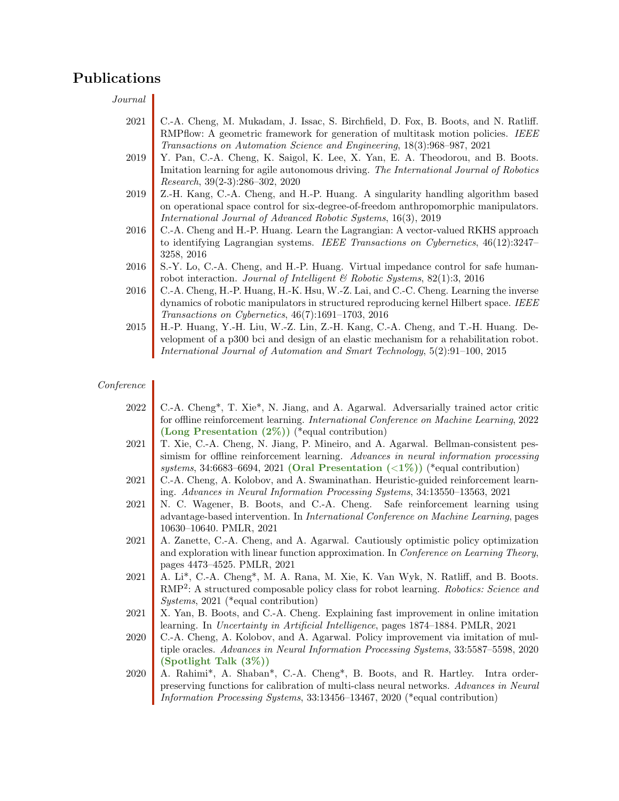#### Publications

Journal

2021 C.-A. Cheng, M. Mukadam, J. Issac, S. Birchfield, D. Fox, B. Boots, and N. Ratliff. RMPflow: A geometric framework for generation of multitask motion policies. IEEE Transactions on Automation Science and Engineering, 18(3):968–987, 2021 2019 Y. Pan, C.-A. Cheng, K. Saigol, K. Lee, X. Yan, E. A. Theodorou, and B. Boots. Imitation learning for agile autonomous driving. The International Journal of Robotics Research, 39(2-3):286–302, 2020 2019 Z.-H. Kang, C.-A. Cheng, and H.-P. Huang. A singularity handling algorithm based on operational space control for six-degree-of-freedom anthropomorphic manipulators. International Journal of Advanced Robotic Systems, 16(3), 2019 2016 C.-A. Cheng and H.-P. Huang. Learn the Lagrangian: A vector-valued RKHS approach to identifying Lagrangian systems. IEEE Transactions on Cybernetics, 46(12):3247– 3258, 2016 2016 S.-Y. Lo, C.-A. Cheng, and H.-P. Huang. Virtual impedance control for safe humanrobot interaction. Journal of Intelligent & Robotic Systems, 82(1):3, 2016 2016 C.-A. Cheng, H.-P. Huang, H.-K. Hsu, W.-Z. Lai, and C.-C. Cheng. Learning the inverse dynamics of robotic manipulators in structured reproducing kernel Hilbert space. IEEE Transactions on Cybernetics, 46(7):1691–1703, 2016 2015 H.-P. Huang, Y.-H. Liu, W.-Z. Lin, Z.-H. Kang, C.-A. Cheng, and T.-H. Huang. Development of a p300 bci and design of an elastic mechanism for a rehabilitation robot. International Journal of Automation and Smart Technology, 5(2):91–100, 2015

#### Conference

| 2022 | C.-A. Cheng*, T. Xie*, N. Jiang, and A. Agarwal. Adversarially trained actor critic                                                                                           |
|------|-------------------------------------------------------------------------------------------------------------------------------------------------------------------------------|
|      | for offline reinforcement learning. International Conference on Machine Learning, 2022                                                                                        |
|      | (Long Presentation $(2\%)$ ) (*equal contribution)                                                                                                                            |
| 2021 | T. Xie, C.-A. Cheng, N. Jiang, P. Mineiro, and A. Agarwal. Bellman-consistent pes-                                                                                            |
|      | simism for offline reinforcement learning. Advances in neural information processing                                                                                          |
|      | systems, 34:6683-6694, 2021 (Oral Presentation $(\langle 1\% \rangle)$ ) (*equal contribution)                                                                                |
| 2021 | C.-A. Cheng, A. Kolobov, and A. Swaminathan. Heuristic-guided reinforcement learn-                                                                                            |
|      | ing. Advances in Neural Information Processing Systems, 34:13550-13563, 2021                                                                                                  |
| 2021 | N. C. Wagener, B. Boots, and C.-A. Cheng. Safe reinforcement learning using                                                                                                   |
|      | advantage-based intervention. In <i>International Conference on Machine Learning</i> , pages                                                                                  |
|      | 10630-10640. PMLR, 2021                                                                                                                                                       |
| 2021 | A. Zanette, C.-A. Cheng, and A. Agarwal. Cautiously optimistic policy optimization                                                                                            |
|      | and exploration with linear function approximation. In Conference on Learning Theory,                                                                                         |
|      | pages 4473-4525. PMLR, 2021                                                                                                                                                   |
| 2021 | A. Li*, C.-A. Cheng*, M. A. Rana, M. Xie, K. Van Wyk, N. Ratliff, and B. Boots.                                                                                               |
|      | RMP <sup>2</sup> : A structured composable policy class for robot learning. Robotics: Science and                                                                             |
|      | $Systems, 2021$ (*equal contribution)                                                                                                                                         |
| 2021 | X. Yan, B. Boots, and C.-A. Cheng. Explaining fast improvement in online imitation                                                                                            |
| 2020 | learning. In <i>Uncertainty in Artificial Intelligence</i> , pages 1874–1884. PMLR, 2021<br>C.-A. Cheng, A. Kolobov, and A. Agarwal. Policy improvement via imitation of mul- |
|      | tiple oracles. Advances in Neural Information Processing Systems, 33:5587-5598, 2020                                                                                          |
|      | (Spotlight Talk $(3\%)$ )                                                                                                                                                     |
| 2020 | A. Rahimi*, A. Shaban*, C.-A. Cheng*, B. Boots, and R. Hartley. Intra order-                                                                                                  |
|      | preserving functions for calibration of multi-class neural networks. Advances in Neural                                                                                       |
|      | <i>Information Processing Systems, 33:13456-13467, 2020</i> (*equal contribution)                                                                                             |
|      |                                                                                                                                                                               |
|      |                                                                                                                                                                               |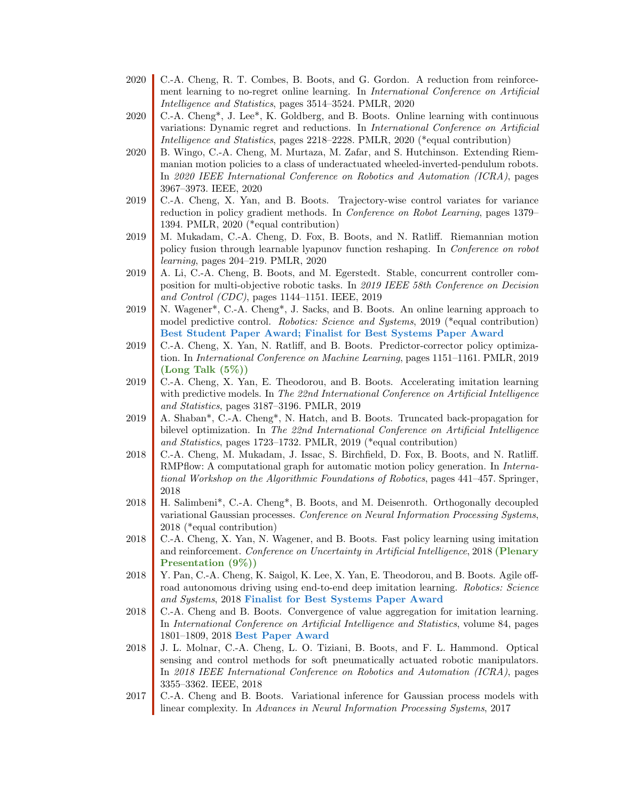- 2020 C.-A. Cheng, R. T. Combes, B. Boots, and G. Gordon. A reduction from reinforcement learning to no-regret online learning. In International Conference on Artificial Intelligence and Statistics, pages 3514–3524. PMLR, 2020
- 2020 C.-A. Cheng<sup>\*</sup>, J. Lee<sup>\*</sup>, K. Goldberg, and B. Boots. Online learning with continuous variations: Dynamic regret and reductions. In International Conference on Artificial Intelligence and Statistics, pages 2218–2228. PMLR, 2020 (\*equal contribution)
- 2020 B. Wingo, C.-A. Cheng, M. Murtaza, M. Zafar, and S. Hutchinson. Extending Riemmanian motion policies to a class of underactuated wheeled-inverted-pendulum robots. In 2020 IEEE International Conference on Robotics and Automation (ICRA), pages 3967–3973. IEEE, 2020
- 2019 C.-A. Cheng, X. Yan, and B. Boots. Trajectory-wise control variates for variance reduction in policy gradient methods. In Conference on Robot Learning, pages 1379– 1394. PMLR, 2020 (\*equal contribution)
- 2019 M. Mukadam, C.-A. Cheng, D. Fox, B. Boots, and N. Ratliff. Riemannian motion policy fusion through learnable lyapunov function reshaping. In Conference on robot learning, pages 204–219. PMLR, 2020
- 2019 A. Li, C.-A. Cheng, B. Boots, and M. Egerstedt. Stable, concurrent controller composition for multi-objective robotic tasks. In 2019 IEEE 58th Conference on Decision and Control (CDC), pages 1144–1151. IEEE, 2019
- 2019 N. Wagener\*, C.-A. Cheng\*, J. Sacks, and B. Boots. An online learning approach to model predictive control. Robotics: Science and Systems, 2019 (\*equal contribution) Best Student Paper Award; Finalist for Best Systems Paper Award
- 2019 C.-A. Cheng, X. Yan, N. Ratliff, and B. Boots. Predictor-corrector policy optimization. In International Conference on Machine Learning, pages 1151–1161. PMLR, 2019  $(Long$  Talk  $(5%)$
- 2019 C.-A. Cheng, X. Yan, E. Theodorou, and B. Boots. Accelerating imitation learning with predictive models. In The 22nd International Conference on Artificial Intelligence and Statistics, pages 3187–3196. PMLR, 2019
- 2019 A. Shaban\*, C.-A. Cheng\*, N. Hatch, and B. Boots. Truncated back-propagation for bilevel optimization. In The 22nd International Conference on Artificial Intelligence and Statistics, pages 1723–1732. PMLR, 2019 (\*equal contribution)
- 2018 C.-A. Cheng, M. Mukadam, J. Issac, S. Birchfield, D. Fox, B. Boots, and N. Ratliff. RMPflow: A computational graph for automatic motion policy generation. In *Interna*tional Workshop on the Algorithmic Foundations of Robotics, pages 441–457. Springer, 2018
- 2018 H. Salimbeni\*, C.-A. Cheng\*, B. Boots, and M. Deisenroth. Orthogonally decoupled variational Gaussian processes. Conference on Neural Information Processing Systems, 2018 (\*equal contribution)
- 2018 C.-A. Cheng, X. Yan, N. Wagener, and B. Boots. Fast policy learning using imitation and reinforcement. Conference on Uncertainty in Artificial Intelligence, 2018 (Plenary Presentation (9%))
- 2018 Y. Pan, C.-A. Cheng, K. Saigol, K. Lee, X. Yan, E. Theodorou, and B. Boots. Agile offroad autonomous driving using end-to-end deep imitation learning. Robotics: Science and Systems, 2018 Finalist for Best Systems Paper Award
- 2018 C.-A. Cheng and B. Boots. Convergence of value aggregation for imitation learning. In International Conference on Artificial Intelligence and Statistics, volume 84, pages 1801–1809, 2018 Best Paper Award
- 2018 J. L. Molnar, C.-A. Cheng, L. O. Tiziani, B. Boots, and F. L. Hammond. Optical sensing and control methods for soft pneumatically actuated robotic manipulators. In 2018 IEEE International Conference on Robotics and Automation (ICRA), pages 3355–3362. IEEE, 2018
- 2017 C.-A. Cheng and B. Boots. Variational inference for Gaussian process models with linear complexity. In Advances in Neural Information Processing Systems, 2017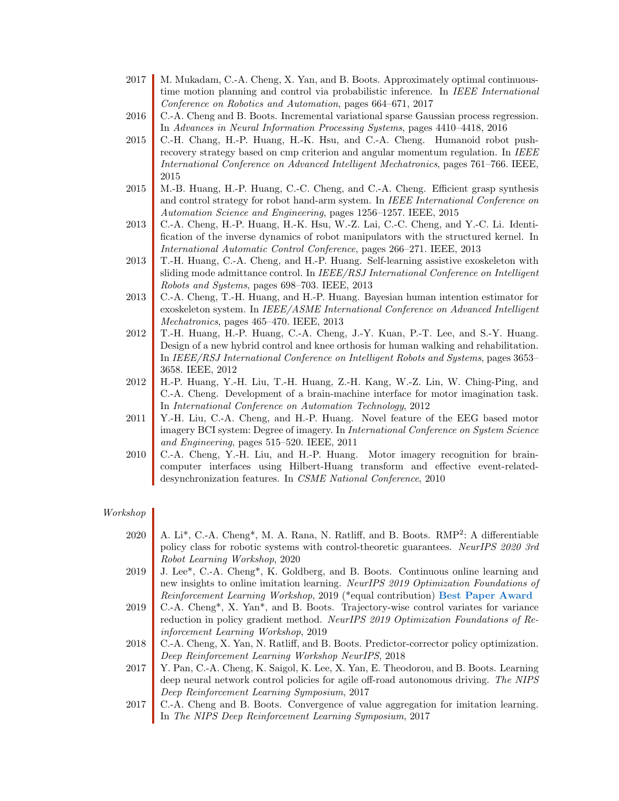- 2017 M. Mukadam, C.-A. Cheng, X. Yan, and B. Boots. Approximately optimal continuoustime motion planning and control via probabilistic inference. In IEEE International Conference on Robotics and Automation, pages 664–671, 2017
- 2016 C.-A. Cheng and B. Boots. Incremental variational sparse Gaussian process regression. In Advances in Neural Information Processing Systems, pages 4410–4418, 2016
- 2015 C.-H. Chang, H.-P. Huang, H.-K. Hsu, and C.-A. Cheng. Humanoid robot pushrecovery strategy based on cmp criterion and angular momentum regulation. In IEEE International Conference on Advanced Intelligent Mechatronics, pages 761–766. IEEE, 2015
- 2015 M.-B. Huang, H.-P. Huang, C.-C. Cheng, and C.-A. Cheng. Efficient grasp synthesis and control strategy for robot hand-arm system. In IEEE International Conference on Automation Science and Engineering, pages 1256–1257. IEEE, 2015
- 2013 C.-A. Cheng, H.-P. Huang, H.-K. Hsu, W.-Z. Lai, C.-C. Cheng, and Y.-C. Li. Identification of the inverse dynamics of robot manipulators with the structured kernel. In International Automatic Control Conference, pages 266–271. IEEE, 2013
- 2013 T.-H. Huang, C.-A. Cheng, and H.-P. Huang. Self-learning assistive exoskeleton with sliding mode admittance control. In IEEE/RSJ International Conference on Intelligent Robots and Systems, pages 698–703. IEEE, 2013
- 2013 C.-A. Cheng, T.-H. Huang, and H.-P. Huang. Bayesian human intention estimator for exoskeleton system. In IEEE/ASME International Conference on Advanced Intelligent Mechatronics, pages 465–470. IEEE, 2013
- 2012 T.-H. Huang, H.-P. Huang, C.-A. Cheng, J.-Y. Kuan, P.-T. Lee, and S.-Y. Huang. Design of a new hybrid control and knee orthosis for human walking and rehabilitation. In IEEE/RSJ International Conference on Intelligent Robots and Systems, pages 3653– 3658. IEEE, 2012
- 2012 H.-P. Huang, Y.-H. Liu, T.-H. Huang, Z.-H. Kang, W.-Z. Lin, W. Ching-Ping, and C.-A. Cheng. Development of a brain-machine interface for motor imagination task. In International Conference on Automation Technology, 2012
- 2011 Y.-H. Liu, C.-A. Cheng, and H.-P. Huang. Novel feature of the EEG based motor imagery BCI system: Degree of imagery. In *International Conference on System Science* and Engineering, pages 515–520. IEEE, 2011
- 2010 C.-A. Cheng, Y.-H. Liu, and H.-P. Huang. Motor imagery recognition for braincomputer interfaces using Hilbert-Huang transform and effective event-relateddesynchronization features. In CSME National Conference, 2010

#### Workshop

- 2020 | A. Li<sup>\*</sup>, C.-A. Cheng<sup>\*</sup>, M. A. Rana, N. Ratliff, and B. Boots. RMP<sup>2</sup>: A differentiable policy class for robotic systems with control-theoretic guarantees. NeurIPS 2020 3rd Robot Learning Workshop, 2020
- 2019 J. Lee\*, C.-A. Cheng\*, K. Goldberg, and B. Boots. Continuous online learning and new insights to online imitation learning. NeurIPS 2019 Optimization Foundations of Reinforcement Learning Workshop, 2019 (\*equal contribution) Best Paper Award
- 2019 C.-A. Cheng<sup>\*</sup>, X. Yan<sup>\*</sup>, and B. Boots. Trajectory-wise control variates for variance reduction in policy gradient method. NeurIPS 2019 Optimization Foundations of Reinforcement Learning Workshop, 2019
- 2018 C.-A. Cheng, X. Yan, N. Ratliff, and B. Boots. Predictor-corrector policy optimization. Deep Reinforcement Learning Workshop NeurIPS, 2018
- 2017 Y. Pan, C.-A. Cheng, K. Saigol, K. Lee, X. Yan, E. Theodorou, and B. Boots. Learning deep neural network control policies for agile off-road autonomous driving. The NIPS Deep Reinforcement Learning Symposium, 2017
- 2017 C.-A. Cheng and B. Boots. Convergence of value aggregation for imitation learning. In The NIPS Deep Reinforcement Learning Symposium, 2017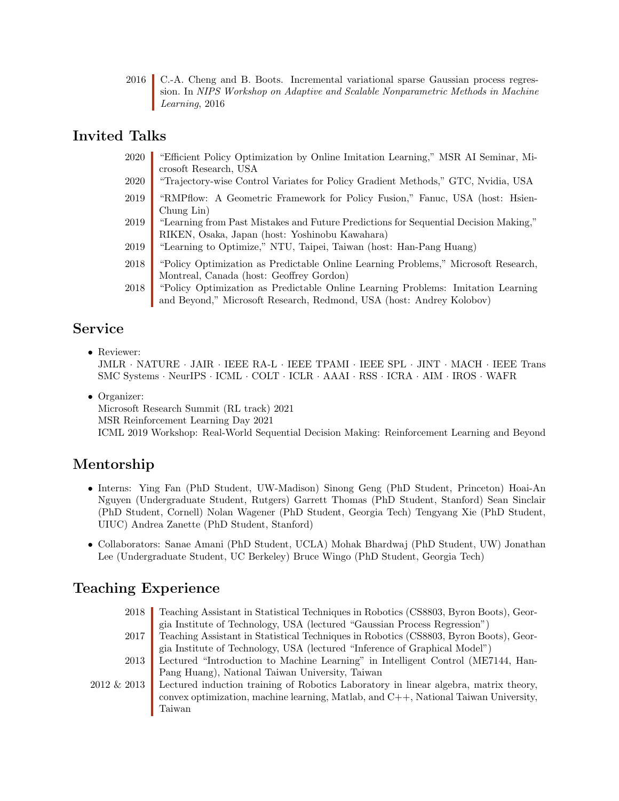2016 C.-A. Cheng and B. Boots. Incremental variational sparse Gaussian process regression. In NIPS Workshop on Adaptive and Scalable Nonparametric Methods in Machine Learning, 2016

#### Invited Talks

- 2020 "Efficient Policy Optimization by Online Imitation Learning," MSR AI Seminar, Microsoft Research, USA
- 2020 "Trajectory-wise Control Variates for Policy Gradient Methods," GTC, Nvidia, USA
- 2019 "RMPflow: A Geometric Framework for Policy Fusion," Fanuc, USA (host: Hsien-Chung Lin)
- 2019 "Learning from Past Mistakes and Future Predictions for Sequential Decision Making," RIKEN, Osaka, Japan (host: Yoshinobu Kawahara)
- 2019 "Learning to Optimize," NTU, Taipei, Taiwan (host: Han-Pang Huang)
- 2018 "Policy Optimization as Predictable Online Learning Problems," Microsoft Research, Montreal, Canada (host: Geoffrey Gordon)
- 2018 "Policy Optimization as Predictable Online Learning Problems: Imitation Learning and Beyond," Microsoft Research, Redmond, USA (host: Andrey Kolobov)

#### Service

• Reviewer:

JMLR · NATURE · JAIR · IEEE RA-L · IEEE TPAMI · IEEE SPL · JINT · MACH · IEEE Trans SMC Systems · NeurIPS · ICML · COLT · ICLR · AAAI · RSS · ICRA · AIM · IROS · WAFR

• Organizer:

Microsoft Research Summit (RL track) 2021

MSR Reinforcement Learning Day 2021

ICML 2019 Workshop: Real-World Sequential Decision Making: Reinforcement Learning and Beyond

## Mentorship

- Interns: Ying Fan (PhD Student, UW-Madison) Sinong Geng (PhD Student, Princeton) Hoai-An Nguyen (Undergraduate Student, Rutgers) Garrett Thomas (PhD Student, Stanford) Sean Sinclair (PhD Student, Cornell) Nolan Wagener (PhD Student, Georgia Tech) Tengyang Xie (PhD Student, UIUC) Andrea Zanette (PhD Student, Stanford)
- Collaborators: Sanae Amani (PhD Student, UCLA) Mohak Bhardwaj (PhD Student, UW) Jonathan Lee (Undergraduate Student, UC Berkeley) Bruce Wingo (PhD Student, Georgia Tech)

## Teaching Experience

2018 Teaching Assistant in Statistical Techniques in Robotics (CS8803, Byron Boots), Georgia Institute of Technology, USA (lectured "Gaussian Process Regression") 2017 Teaching Assistant in Statistical Techniques in Robotics (CS8803, Byron Boots), Georgia Institute of Technology, USA (lectured "Inference of Graphical Model") 2013 Lectured "Introduction to Machine Learning" in Intelligent Control (ME7144, Han-Pang Huang), National Taiwan University, Taiwan 2012 & 2013 Lectured induction training of Robotics Laboratory in linear algebra, matrix theory, convex optimization, machine learning, Matlab, and C++, National Taiwan University, Taiwan